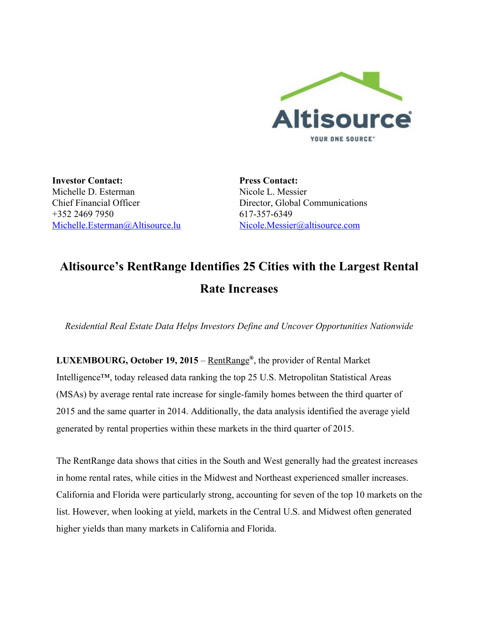

**Investor Contact:** Michelle D. Esterman Chief Financial Officer +352 2469 7950 [Michelle.Esterman@Altisource.lu](mailto:Michelle.Esterman@Altisource.lu)

**Press Contact:** Nicole L. Messier Director, Global Communications 617-357-6349 [Nicole.Messier@altisource.com](mailto:Nicole.Messier@altisource.com)

## **Altisource's RentRange Identifies 25 Cities with the Largest Rental Rate Increases**

*Residential Real Estate Data Helps Investors Define and Uncover Opportunities Nationwide*

**LUXEMBOURG, October 19, 2015**– [RentRange](https://www.rentrange.com/home) **®**, the provider of Rental Market Intelligence™, today released data ranking the top 25 U.S. Metropolitan Statistical Areas (MSAs) by average rental rate increase for single-family homes between the third quarter of 2015 and the same quarter in 2014. Additionally, the data analysis identified the average yield generated by rental properties within these markets in the third quarter of 2015.

The RentRange data shows that cities in the South and West generally had the greatest increases in home rental rates, while cities in the Midwest and Northeast experienced smaller increases. California and Florida were particularly strong, accounting for seven of the top 10 markets on the list. However, when looking at yield, markets in the Central U.S. and Midwest often generated higher yields than many markets in California and Florida.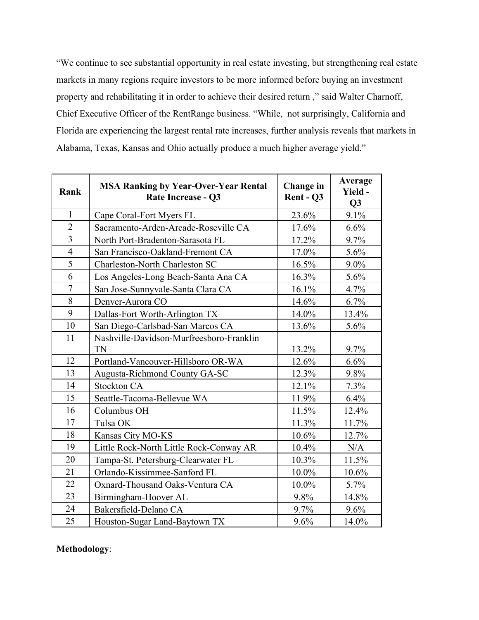"We continue to see substantial opportunity in real estate investing, but strengthening real estate markets in many regions require investors to be more informed before buying an investment property and rehabilitating it in order to achieve their desired return ," said Walter Charnoff, Chief Executive Officer of the RentRange business. "While, not surprisingly, California and Florida are experiencing the largest rental rate increases, further analysis reveals that markets in Alabama, Texas, Kansas and Ohio actually produce a much higher average yield."

| Rank             | <b>MSA Ranking by Year-Over-Year Rental</b><br>Rate Increase - Q3 | Change in<br>Rent - Q3 | Average<br>Yield -<br>Q3 |
|------------------|-------------------------------------------------------------------|------------------------|--------------------------|
| $\mathbf{1}$     | Cape Coral-Fort Myers FL                                          | 23.6%                  | 9.1%                     |
| $\overline{2}$   | Sacramento-Arden-Arcade-Roseville CA                              | 17.6%                  | 6.6%                     |
| $\overline{3}$   | North Port-Bradenton-Sarasota FL                                  | 17.2%                  | 9.7%                     |
| $\overline{4}$   | San Francisco-Oakland-Fremont CA                                  | 17.0%                  | 5.6%                     |
| 5                | Charleston-North Charleston SC                                    | 16.5%                  | $9.0\%$                  |
| 6                | Los Angeles-Long Beach-Santa Ana CA                               | 16.3%                  | 5.6%                     |
| $\boldsymbol{7}$ | San Jose-Sunnyvale-Santa Clara CA                                 | 16.1%                  | 4.7%                     |
| 8                | Denver-Aurora CO                                                  | 14.6%                  | 6.7%                     |
| 9                | Dallas-Fort Worth-Arlington TX                                    | 14.0%                  | 13.4%                    |
| 10               | San Diego-Carlsbad-San Marcos CA                                  | 13.6%                  | 5.6%                     |
| 11               | Nashville-Davidson-Murfreesboro-Franklin                          |                        |                          |
|                  | TN                                                                | 13.2%                  | 9.7%                     |
| 12               | Portland-Vancouver-Hillsboro OR-WA                                | 12.6%                  | 6.6%                     |
| 13               | <b>Augusta-Richmond County GA-SC</b>                              | 12.3%                  | 9.8%                     |
| 14               | <b>Stockton CA</b>                                                | 12.1%                  | 7.3%                     |
| 15               | Seattle-Tacoma-Bellevue WA                                        | 11.9%                  | $6.4\%$                  |
| 16               | Columbus OH                                                       | 11.5%                  | 12.4%                    |
| 17               | Tulsa OK                                                          | 11.3%                  | 11.7%                    |
| 18               | Kansas City MO-KS                                                 | 10.6%                  | 12.7%                    |
| 19               | Little Rock-North Little Rock-Conway AR                           | 10.4%                  | N/A                      |
| 20               | Tampa-St. Petersburg-Clearwater FL                                | 10.3%                  | 11.5%                    |
| 21               | Orlando-Kissimmee-Sanford FL                                      | 10.0%                  | 10.6%                    |
| 22               | Oxnard-Thousand Oaks-Ventura CA                                   | 10.0%                  | 5.7%                     |
| 23               | Birmingham-Hoover AL                                              | 9.8%                   | 14.8%                    |
| 24               | Bakersfield-Delano CA                                             | 9.7%                   | 9.6%                     |
| 25               | Houston-Sugar Land-Baytown TX                                     | 9.6%                   | 14.0%                    |

**Methodology**: